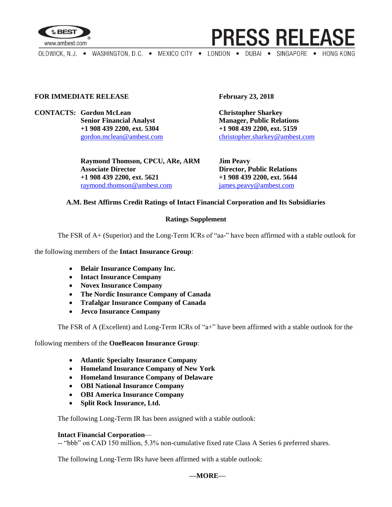

**PRESS RELEASE** 

OLDWICK, N.J. . WASHINGTON, D.C. . MEXICO CITY . LONDON . DUBAI . SINGAPORE . HONG KONG

#### **FOR IMMEDIATE RELEASE February 23, 2018**

**CONTACTS: Gordon McLean Christopher Sharkey Senior Financial Analyst Manager, Public Relations +1 908 439 2200, ext. 5304 +1 908 439 2200, ext. 5159**

> **Raymond Thomson, CPCU, ARe, ARM Jim Peavy Associate Director Director, Public Relations +1 908 439 2200, ext. 5621 +1 908 439 2200, ext. 5644** [raymond.thomson@ambest.com](mailto:raymond.thomson@ambest.com) [james.peavy@ambest.com](mailto:james.peavy@ambest.com)

[gordon.mclean@ambest.com](mailto:gordon.mclean@ambest.com) [christopher.sharkey@ambest.com](mailto:christopher.sharkey@ambest.com)

## **A.M. Best Affirms Credit Ratings of Intact Financial Corporation and Its Subsidiaries**

## **Ratings Supplement**

The FSR of A+ (Superior) and the Long-Term ICRs of "aa-" have been affirmed with a stable outlook for

the following members of the **Intact Insurance Group**:

- **Belair Insurance Company Inc.**
- **Intact Insurance Company**
- **Novex Insurance Company**
- **The Nordic Insurance Company of Canada**
- **Trafalgar Insurance Company of Canada**
- **Jevco Insurance Company**

The FSR of A (Excellent) and Long-Term ICRs of "a+" have been affirmed with a stable outlook for the

following members of the **OneBeacon Insurance Group**:

- **Atlantic Specialty Insurance Company**
- **Homeland Insurance Company of New York**
- **Homeland Insurance Company of Delaware**
- **OBI National Insurance Company**
- **OBI America Insurance Company**
- **Split Rock Insurance, Ltd.**

The following Long-Term IR has been assigned with a stable outlook:

#### **Intact Financial Corporation**—

-- "bbb" on CAD 150 million, 5.3% non-cumulative fixed rate Class A Series 6 preferred shares.

The following Long-Term IRs have been affirmed with a stable outlook: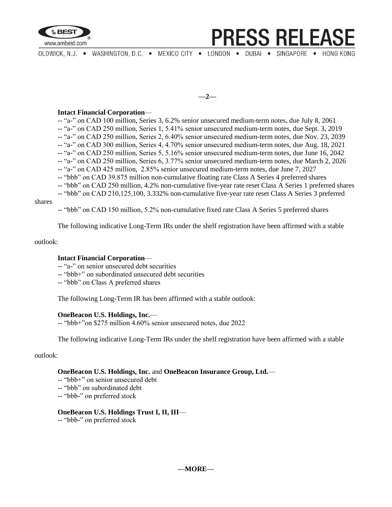

# **PRESS RELEASI**

OLDWICK, N.J. . WASHINGTON, D.C. . MEXICO CITY . LONDON . DUBAI . SINGAPORE . HONG KONG

**—2—**

## **Intact Financial Corporation**—

-- "a-" on CAD 100 million, Series 3, 6.2% senior unsecured medium-term notes, due July 8, 2061 -- "a-" on CAD 250 million, Series 1, 5.41% senior unsecured medium-term notes, due Sept. 3, 2019 -- "a-" on CAD 250 million, Series 2, 6.40% senior unsecured medium-term notes, due Nov. 23, 2039 -- "a-" on CAD 300 million, Series 4, 4.70% senior unsecured medium-term notes, due Aug. 18, 2021 -- "a-" on CAD 250 million, Series 5, 5.16% senior unsecured medium-term notes, due June 16, 2042 -- "a-" on CAD 250 million, Series 6, 3.77% senior unsecured medium-term notes, due March 2, 2026 -- "a-" on CAD 425 million, 2.85% senior unsecured medium-term notes, due June 7, 2027 -- "bbb" on CAD 39.875 million non-cumulative floating rate Class A Series 4 preferred shares -- "bbb" on CAD 250 million, 4.2% non-cumulative five-year rate reset Class A Series 1 preferred shares

-- "bbb" on CAD 210,125,100, 3.332% non-cumulative five-year rate reset Class A Series 3 preferred

#### shares

-- "bbb" on CAD 150 million, 5.2% non-cumulative fixed rate Class A Series 5 preferred shares

The following indicative Long-Term IRs under the shelf registration have been affirmed with a stable

#### outlook:

#### **Intact Financial Corporation**—

-- "a-" on senior unsecured debt securities

-- "bbb+" on subordinated unsecured debt securities

-- "bbb" on Class A preferred shares

The following Long-Term IR has been affirmed with a stable outlook:

#### **OneBeacon U.S. Holdings, Inc.**—

-- "bbb+"on \$275 million 4.60% senior unsecured notes, due 2022

The following indicative Long-Term IRs under the shelf registration have been affirmed with a stable

### outlook:

#### **OneBeacon U.S. Holdings, Inc.** and **OneBeacon Insurance Group, Ltd.**—

- -- "bbb+" on senior unsecured debt
- -- "bbb" on subordinated debt
- -- "bbb-" on preferred stock

#### **OneBeacon U.S. Holdings Trust I, II, III**—

-- "bbb-" on preferred stock